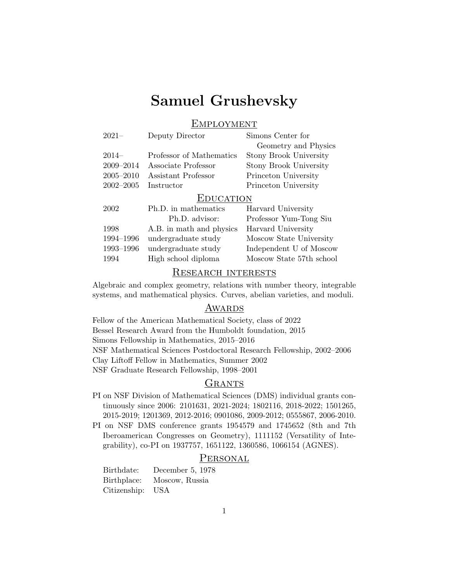# Samuel Grushevsky

## **EMPLOYMENT**

| $2021 -$      | Deputy Director          | Simons Center for      |  |
|---------------|--------------------------|------------------------|--|
|               |                          | Geometry and Physics   |  |
| $2014-$       | Professor of Mathematics | Stony Brook University |  |
| 2009-2014     | Associate Professor      | Stony Brook University |  |
| $2005 - 2010$ | Assistant Professor      | Princeton University   |  |
|               | $2002-2005$ Instructor   | Princeton University   |  |
|               |                          |                        |  |

#### **EDUCATION**

| 2002      | Ph.D. in mathematics     | Harvard University       |
|-----------|--------------------------|--------------------------|
|           | Ph.D. advisor:           | Professor Yum-Tong Siu   |
| 1998      | A.B. in math and physics | Harvard University       |
| 1994-1996 | undergraduate study      | Moscow State University  |
| 1993-1996 | undergraduate study      | Independent U of Moscow  |
| 1994      | High school diploma      | Moscow State 57th school |
|           |                          |                          |

## Research interests

Algebraic and complex geometry, relations with number theory, integrable systems, and mathematical physics. Curves, abelian varieties, and moduli.

## **AWARDS**

Fellow of the American Mathematical Society, class of 2022 Bessel Research Award from the Humboldt foundation, 2015 Simons Fellowship in Mathematics, 2015–2016 NSF Mathematical Sciences Postdoctoral Research Fellowship, 2002–2006 Clay Liftoff Fellow in Mathematics, Summer 2002 NSF Graduate Research Fellowship, 1998–2001

## **GRANTS**

PI on NSF Division of Mathematical Sciences (DMS) individual grants continuously since 2006: 2101631, 2021-2024; 1802116, 2018-2022; 1501265, 2015-2019; 1201369, 2012-2016; 0901086, 2009-2012; 0555867, 2006-2010.

PI on NSF DMS conference grants 1954579 and 1745652 (8th and 7th Iberoamerican Congresses on Geometry), 1111152 (Versatility of Integrability), co-PI on 1937757, 1651122, 1360586, 1066154 (AGNES).

## **PERSONAL**

Birthdate: December 5, 1978 Birthplace: Moscow, Russia Citizenship: USA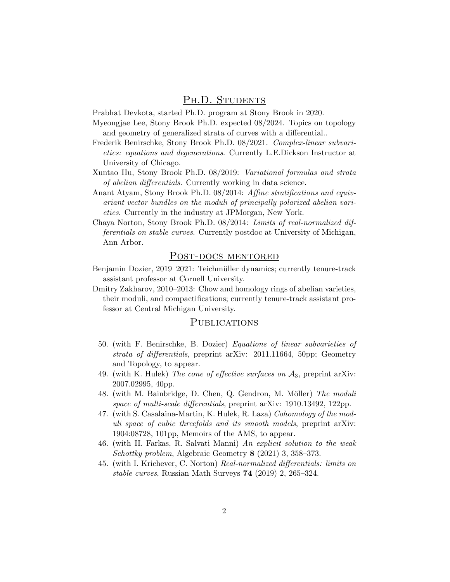# PH.D. STUDENTS

Prabhat Devkota, started Ph.D. program at Stony Brook in 2020.

- Myeongjae Lee, Stony Brook Ph.D. expected 08/2024. Topics on topology and geometry of generalized strata of curves with a differential..
- Frederik Benirschke, Stony Brook Ph.D. 08/2021. Complex-linear subvarieties: equations and degenerations. Currently L.E.Dickson Instructor at University of Chicago.
- Xuntao Hu, Stony Brook Ph.D. 08/2019: Variational formulas and strata of abelian differentials. Currently working in data science.
- Anant Atyam, Stony Brook Ph.D. 08/2014: Affine stratifications and equivariant vector bundles on the moduli of principally polarized abelian varieties. Currently in the industry at JPMorgan, New York.
- Chaya Norton, Stony Brook Ph.D. 08/2014: Limits of real-normalized differentials on stable curves. Currently postdoc at University of Michigan, Ann Arbor.

# POST-DOCS MENTORED

- Benjamin Dozier, 2019–2021: Teichmüller dynamics; currently tenure-track assistant professor at Cornell University.
- Dmitry Zakharov, 2010–2013: Chow and homology rings of abelian varieties, their moduli, and compactifications; currently tenure-track assistant professor at Central Michigan University.

## **PUBLICATIONS**

- 50. (with F. Benirschke, B. Dozier) Equations of linear subvarieties of strata of differentials, preprint arXiv: 2011.11664, 50pp; Geometry and Topology, to appear.
- 49. (with K. Hulek) The cone of effective surfaces on  $\overline{\mathcal{A}}_3$ , preprint arXiv: 2007.02995, 40pp.
- 48. (with M. Bainbridge, D. Chen, Q. Gendron, M. Möller) The moduli space of multi-scale differentials, preprint arXiv: 1910.13492, 122pp.
- 47. (with S. Casalaina-Martin, K. Hulek, R. Laza) Cohomology of the moduli space of cubic threefolds and its smooth models, preprint arXiv: 1904:08728, 101pp, Memoirs of the AMS, to appear.
- 46. (with H. Farkas, R. Salvati Manni) An explicit solution to the weak Schottky problem, Algebraic Geometry 8 (2021) 3, 358–373.
- 45. (with I. Krichever, C. Norton) Real-normalized differentials: limits on stable curves, Russian Math Surveys 74 (2019) 2, 265–324.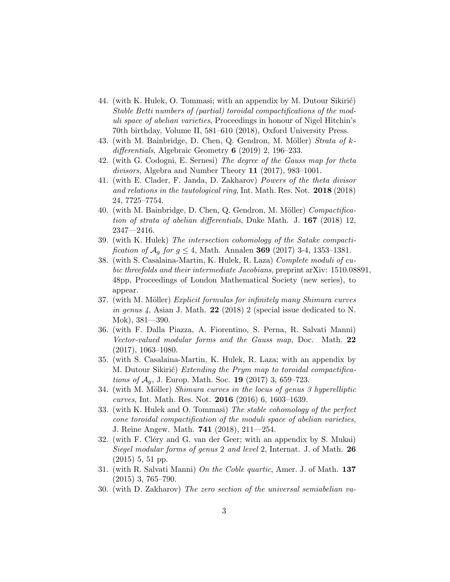- 44. (with K. Hulek, O. Tommasi; with an appendix by M. Dutour Sikirić) Stable Betti numbers of (partial) toroidal compactifications of the moduli space of abelian varieties, Proceedings in honour of Nigel Hitchin's 70th birthday, Volume II, 581–610 (2018), Oxford University Press.
- 43. (with M. Bainbridge, D. Chen, Q. Gendron, M. Möller) Strata of  $k$ differentials, Algebraic Geometry 6 (2019) 2, 196–233.
- 42. (with G. Codogni, E. Sernesi) The degree of the Gauss map for theta divisors, Algebra and Number Theory 11 (2017), 983–1001.
- 41. (with E. Clader, F. Janda, D. Zakharov) Powers of the theta divisor and relations in the tautological ring, Int. Math. Res. Not. 2018 (2018) 24, 7725–7754.
- 40. (with M. Bainbridge, D. Chen, Q. Gendron, M. Möller) *Compactifica*tion of strata of abelian differentials, Duke Math. J. 167 (2018) 12, 2347—2416.
- 39. (with K. Hulek) The intersection cohomology of the Satake compacti*fication of*  $A_q$  *for*  $g \leq 4$ , Math. Annalen **369** (2017) 3-4, 1353-1381.
- 38. (with S. Casalaina-Martin, K. Hulek, R. Laza) Complete moduli of cubic threefolds and their intermediate Jacobians, preprint arXiv: 1510.08891, 48pp, Proceedings of London Mathematical Society (new series), to appear.
- 37. (with M. Möller) *Explicit formulas for infinitely many Shimura curves* in genus 4, Asian J. Math. 22 (2018) 2 (special issue dedicated to N. Mok), 381—390.
- 36. (with F. Dalla Piazza, A. Fiorentino, S. Perna, R. Salvati Manni) Vector-valued modular forms and the Gauss map, Doc. Math. 22 (2017), 1063–1080.
- 35. (with S. Casalaina-Martin, K. Hulek, R. Laza; with an appendix by M. Dutour Sikirić) Extending the Prym map to toroidal compactifications of  $A_q$ , J. Europ. Math. Soc. 19 (2017) 3, 659–723.
- 34. (with M. Möller) Shimura curves in the locus of genus 3 hyperelliptic curves, Int. Math. Res. Not. 2016 (2016) 6, 1603–1639.
- 33. (with K. Hulek and O. Tommasi) The stable cohomology of the perfect cone toroidal compactification of the moduli space of abelian varieties, J. Reine Angew. Math. 741 (2018), 211—254.
- 32. (with F. Cléry and G. van der Geer; with an appendix by S. Mukai) Siegel modular forms of genus 2 and level 2, Internat. J. of Math. 26 (2015) 5, 51 pp.
- 31. (with R. Salvati Manni) On the Coble quartic, Amer. J. of Math. 137 (2015) 3, 765–790.
- 30. (with D. Zakharov) The zero section of the universal semiabelian va-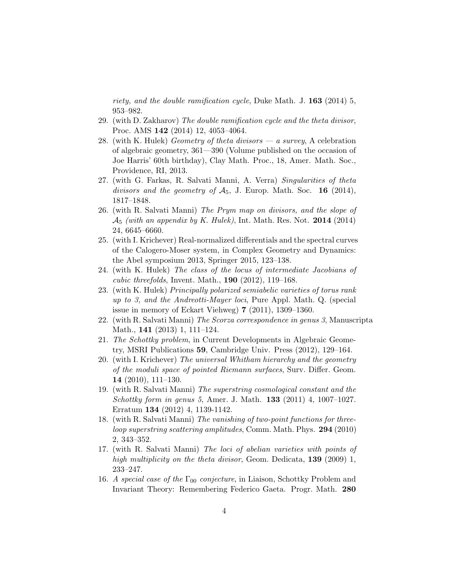riety, and the double ramification cycle, Duke Math. J. 163 (2014) 5, 953–982.

- 29. (with D. Zakharov) The double ramification cycle and the theta divisor, Proc. AMS 142 (2014) 12, 4053–4064.
- 28. (with K. Hulek) Geometry of theta divisors  $-a$  survey, A celebration of algebraic geometry, 361—390 (Volume published on the occasion of Joe Harris' 60th birthday), Clay Math. Proc., 18, Amer. Math. Soc., Providence, RI, 2013.
- 27. (with G. Farkas, R. Salvati Manni, A. Verra) Singularities of theta divisors and the geometry of  $A_5$ , J. Europ. Math. Soc. 16 (2014), 1817–1848.
- 26. (with R. Salvati Manni) The Prym map on divisors, and the slope of  $\mathcal{A}_5$  (with an appendix by K. Hulek), Int. Math. Res. Not. 2014 (2014) 24, 6645–6660.
- 25. (with I. Krichever) Real-normalized differentials and the spectral curves of the Calogero-Moser system, in Complex Geometry and Dynamics: the Abel symposium 2013, Springer 2015, 123–138.
- 24. (with K. Hulek) The class of the locus of intermediate Jacobians of cubic threefolds, Invent. Math., 190 (2012), 119–168.
- 23. (with K. Hulek) Principally polarized semiabelic varieties of torus rank up to 3, and the Andreotti-Mayer loci, Pure Appl. Math. Q. (special issue in memory of Eckart Viehweg) 7 (2011), 1309–1360.
- 22. (with R. Salvati Manni) The Scorza correspondence in genus 3, Manuscripta Math., 141 (2013) 1, 111–124.
- 21. The Schottky problem, in Current Developments in Algebraic Geometry, MSRI Publications 59, Cambridge Univ. Press (2012), 129–164.
- 20. (with I. Krichever) The universal Whitham hierarchy and the geometry of the moduli space of pointed Riemann surfaces, Surv. Differ. Geom. 14 (2010), 111–130.
- 19. (with R. Salvati Manni) The superstring cosmological constant and the Schottky form in genus 5, Amer. J. Math. 133 (2011) 4, 1007–1027. Erratum 134 (2012) 4, 1139-1142.
- 18. (with R. Salvati Manni) The vanishing of two-point functions for threeloop superstring scattering amplitudes, Comm. Math. Phys. 294 (2010) 2, 343–352.
- 17. (with R. Salvati Manni) The loci of abelian varieties with points of high multiplicity on the theta divisor, Geom. Dedicata, 139 (2009) 1, 233–247.
- 16. A special case of the  $\Gamma_{00}$  conjecture, in Liaison, Schottky Problem and Invariant Theory: Remembering Federico Gaeta. Progr. Math. 280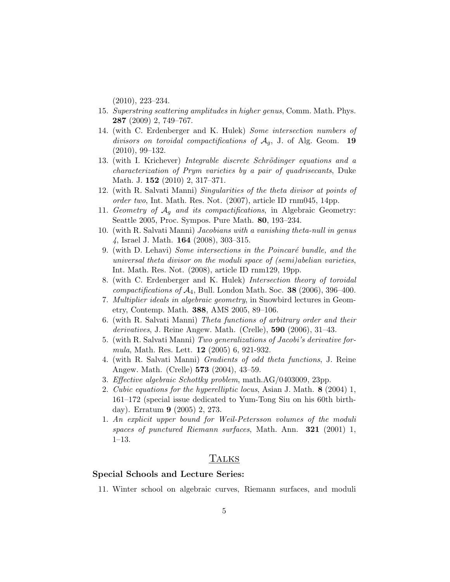(2010), 223–234.

- 15. Superstring scattering amplitudes in higher genus, Comm. Math. Phys. 287 (2009) 2, 749–767.
- 14. (with C. Erdenberger and K. Hulek) Some intersection numbers of divisors on toroidal compactifications of  $A<sub>g</sub>$ , J. of Alg. Geom. 19 (2010), 99–132.
- 13. (with I. Krichever) Integrable discrete Schrödinger equations and a characterization of Prym varieties by a pair of quadrisecants, Duke Math. J. 152 (2010) 2, 317–371.
- 12. (with R. Salvati Manni) Singularities of the theta divisor at points of order two, Int. Math. Res. Not. (2007), article ID rnm045, 14pp.
- 11. Geometry of  $A_q$  and its compactifications, in Algebraic Geometry: Seattle 2005, Proc. Sympos. Pure Math. 80, 193–234.
- 10. (with R. Salvati Manni) Jacobians with a vanishing theta-null in genus 4, Israel J. Math. 164 (2008), 303–315.
- 9. (with D. Lehavi) Some intersections in the Poincaré bundle, and the universal theta divisor on the moduli space of (semi)abelian varieties, Int. Math. Res. Not. (2008), article ID rnm129, 19pp.
- 8. (with C. Erdenberger and K. Hulek) Intersection theory of toroidal compactifications of  $A_4$ , Bull. London Math. Soc. 38 (2006), 396-400.
- 7. Multiplier ideals in algebraic geometry, in Snowbird lectures in Geometry, Contemp. Math. 388, AMS 2005, 89–106.
- 6. (with R. Salvati Manni) Theta functions of arbitrary order and their derivatives, J. Reine Angew. Math. (Crelle), 590 (2006), 31–43.
- 5. (with R. Salvati Manni) Two generalizations of Jacobi's derivative formula, Math. Res. Lett. 12 (2005) 6, 921-932.
- 4. (with R. Salvati Manni) Gradients of odd theta functions, J. Reine Angew. Math. (Crelle) 573 (2004), 43–59.
- 3. Effective algebraic Schottky problem, math.AG/0403009, 23pp.
- 2. Cubic equations for the hyperelliptic locus, Asian J. Math. 8 (2004) 1, 161–172 (special issue dedicated to Yum-Tong Siu on his 60th birthday). Erratum 9 (2005) 2, 273.
- 1. An explicit upper bound for Weil-Petersson volumes of the moduli spaces of punctured Riemann surfaces, Math. Ann.  $321$  (2001) 1, 1–13.

# **TALKS**

## Special Schools and Lecture Series:

11. Winter school on algebraic curves, Riemann surfaces, and moduli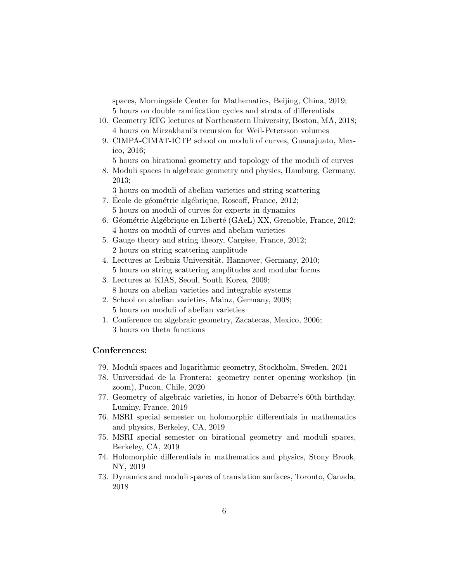spaces, Morningside Center for Mathematics, Beijing, China, 2019; 5 hours on double ramification cycles and strata of differentials

- 10. Geometry RTG lectures at Northeastern University, Boston, MA, 2018; 4 hours on Mirzakhani's recursion for Weil-Petersson volumes
- 9. CIMPA-CIMAT-ICTP school on moduli of curves, Guanajuato, Mexico, 2016;
	- 5 hours on birational geometry and topology of the moduli of curves
- 8. Moduli spaces in algebraic geometry and physics, Hamburg, Germany, 2013;
	- 3 hours on moduli of abelian varieties and string scattering
- 7. Ecole de géométrie algébrique, Roscoff, France, 2012; 5 hours on moduli of curves for experts in dynamics
- 6. Géométrie Algébrique en Liberté (GAeL) XX, Grenoble, France, 2012; 4 hours on moduli of curves and abelian varieties
- 5. Gauge theory and string theory, Cargèse, France, 2012; 2 hours on string scattering amplitude
- 4. Lectures at Leibniz Universität, Hannover, Germany, 2010; 5 hours on string scattering amplitudes and modular forms
- 3. Lectures at KIAS, Seoul, South Korea, 2009; 8 hours on abelian varieties and integrable systems
- 2. School on abelian varieties, Mainz, Germany, 2008; 5 hours on moduli of abelian varieties
- 1. Conference on algebraic geometry, Zacatecas, Mexico, 2006; 3 hours on theta functions

#### Conferences:

- 79. Moduli spaces and logarithmic geometry, Stockholm, Sweden, 2021
- 78. Universidad de la Frontera: geometry center opening workshop (in zoom), Pucon, Chile, 2020
- 77. Geometry of algebraic varieties, in honor of Debarre's 60th birthday, Luminy, France, 2019
- 76. MSRI special semester on holomorphic differentials in mathematics and physics, Berkeley, CA, 2019
- 75. MSRI special semester on birational geometry and moduli spaces, Berkeley, CA, 2019
- 74. Holomorphic differentials in mathematics and physics, Stony Brook, NY, 2019
- 73. Dynamics and moduli spaces of translation surfaces, Toronto, Canada, 2018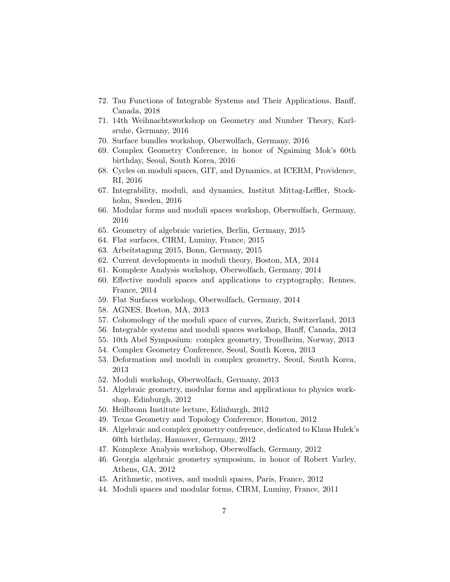- 72. Tau Functions of Integrable Systems and Their Applications, Banff, Canada, 2018
- 71. 14th Weihnachtsworkshop on Geometry and Number Theory, Karlsruhe, Germany, 2016
- 70. Surface bundles workshop, Oberwolfach, Germany, 2016
- 69. Complex Geometry Conference, in honor of Ngaiming Mok's 60th birthday, Seoul, South Korea, 2016
- 68. Cycles on moduli spaces, GIT, and Dynamics, at ICERM, Providence, RI, 2016
- 67. Integrability, moduli, and dynamics, Institut Mittag-Leffler, Stockholm, Sweden, 2016
- 66. Modular forms and moduli spaces workshop, Oberwolfach, Germany, 2016
- 65. Geometry of algebraic varieties, Berlin, Germany, 2015
- 64. Flat surfaces, CIRM, Luminy, France, 2015
- 63. Arbeitstagung 2015, Bonn, Germany, 2015
- 62. Current developments in moduli theory, Boston, MA, 2014
- 61. Komplexe Analysis workshop, Oberwolfach, Germany, 2014
- 60. Effective moduli spaces and applications to cryptography, Rennes, France, 2014
- 59. Flat Surfaces workshop, Oberwolfach, Germany, 2014
- 58. AGNES, Boston, MA, 2013
- 57. Cohomology of the moduli space of curves, Zurich, Switzerland, 2013
- 56. Integrable systems and moduli spaces workshop, Banff, Canada, 2013
- 55. 10th Abel Symposium: complex geometry, Trondheim, Norway, 2013
- 54. Complex Geometry Conference, Seoul, South Korea, 2013
- 53. Deformation and moduli in complex geometry, Seoul, South Korea, 2013
- 52. Moduli workshop, Oberwolfach, Germany, 2013
- 51. Algebraic geometry, modular forms and applications to physics workshop, Edinburgh, 2012
- 50. Heilbronn Institute lecture, Edinburgh, 2012
- 49. Texas Geometry and Topology Conference, Houston, 2012
- 48. Algebraic and complex geometry conference, dedicated to Klaus Hulek's 60th birthday, Hannover, Germany, 2012
- 47. Komplexe Analysis workshop, Oberwolfach, Germany, 2012
- 46. Georgia algebraic geometry symposium, in honor of Robert Varley, Athens, GA, 2012
- 45. Arithmetic, motives, and moduli spaces, Paris, France, 2012
- 44. Moduli spaces and modular forms, CIRM, Luminy, France, 2011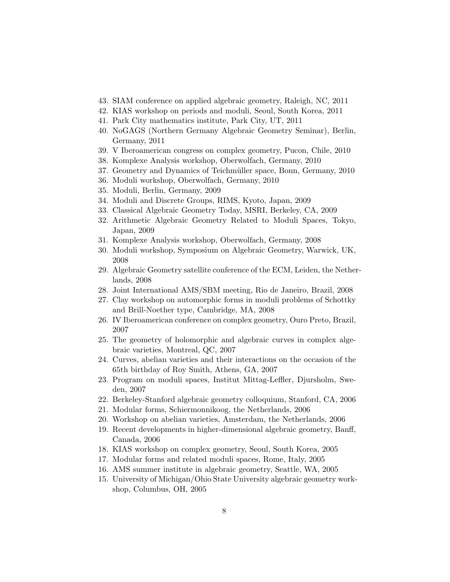- 43. SIAM conference on applied algebraic geometry, Raleigh, NC, 2011
- 42. KIAS workshop on periods and moduli, Seoul, South Korea, 2011
- 41. Park City mathematics institute, Park City, UT, 2011
- 40. NoGAGS (Northern Germany Algebraic Geometry Seminar), Berlin, Germany, 2011
- 39. V Iberoamerican congress on complex geometry, Pucon, Chile, 2010
- 38. Komplexe Analysis workshop, Oberwolfach, Germany, 2010
- 37. Geometry and Dynamics of Teichm¨uller space, Bonn, Germany, 2010
- 36. Moduli workshop, Oberwolfach, Germany, 2010
- 35. Moduli, Berlin, Germany, 2009
- 34. Moduli and Discrete Groups, RIMS, Kyoto, Japan, 2009
- 33. Classical Algebraic Geometry Today, MSRI, Berkeley, CA, 2009
- 32. Arithmetic Algebraic Geometry Related to Moduli Spaces, Tokyo, Japan, 2009
- 31. Komplexe Analysis workshop, Oberwolfach, Germany, 2008
- 30. Moduli workshop, Symposium on Algebraic Geometry, Warwick, UK, 2008
- 29. Algebraic Geometry satellite conference of the ECM, Leiden, the Netherlands, 2008
- 28. Joint International AMS/SBM meeting, Rio de Janeiro, Brazil, 2008
- 27. Clay workshop on automorphic forms in moduli problems of Schottky and Brill-Noether type, Cambridge, MA, 2008
- 26. IV Iberoamerican conference on complex geometry, Ouro Preto, Brazil, 2007
- 25. The geometry of holomorphic and algebraic curves in complex algebraic varieties, Montreal, QC, 2007
- 24. Curves, abelian varieties and their interactions on the occasion of the 65th birthday of Roy Smith, Athens, GA, 2007
- 23. Program on moduli spaces, Institut Mittag-Leffler, Djursholm, Sweden, 2007
- 22. Berkeley-Stanford algebraic geometry colloquium, Stanford, CA, 2006
- 21. Modular forms, Schiermonnikoog, the Netherlands, 2006
- 20. Workshop on abelian varieties, Amsterdam, the Netherlands, 2006
- 19. Recent developments in higher-dimensional algebraic geometry, Banff, Canada, 2006
- 18. KIAS workshop on complex geometry, Seoul, South Korea, 2005
- 17. Modular forms and related moduli spaces, Rome, Italy, 2005
- 16. AMS summer institute in algebraic geometry, Seattle, WA, 2005
- 15. University of Michigan/Ohio State University algebraic geometry workshop, Columbus, OH, 2005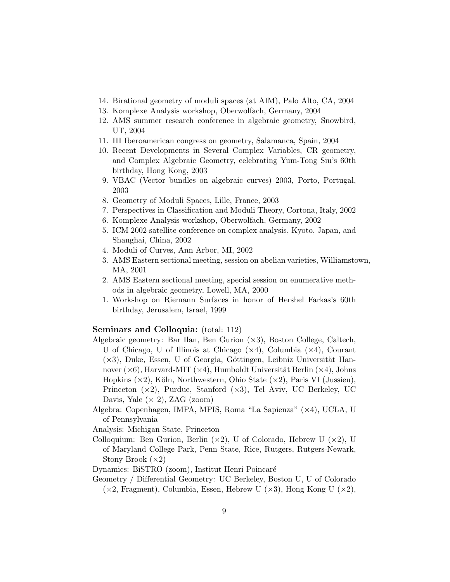- 14. Birational geometry of moduli spaces (at AIM), Palo Alto, CA, 2004
- 13. Komplexe Analysis workshop, Oberwolfach, Germany, 2004
- 12. AMS summer research conference in algebraic geometry, Snowbird, UT, 2004
- 11. III Iberoamerican congress on geometry, Salamanca, Spain, 2004
- 10. Recent Developments in Several Complex Variables, CR geometry, and Complex Algebraic Geometry, celebrating Yum-Tong Siu's 60th birthday, Hong Kong, 2003
- 9. VBAC (Vector bundles on algebraic curves) 2003, Porto, Portugal, 2003
- 8. Geometry of Moduli Spaces, Lille, France, 2003
- 7. Perspectives in Classification and Moduli Theory, Cortona, Italy, 2002
- 6. Komplexe Analysis workshop, Oberwolfach, Germany, 2002
- 5. ICM 2002 satellite conference on complex analysis, Kyoto, Japan, and Shanghai, China, 2002
- 4. Moduli of Curves, Ann Arbor, MI, 2002
- 3. AMS Eastern sectional meeting, session on abelian varieties, Williamstown, MA, 2001
- 2. AMS Eastern sectional meeting, special session on enumerative methods in algebraic geometry, Lowell, MA, 2000
- 1. Workshop on Riemann Surfaces in honor of Hershel Farkas's 60th birthday, Jerusalem, Israel, 1999

#### Seminars and Colloquia: (total: 112)

- Algebraic geometry: Bar Ilan, Ben Gurion  $(\times 3)$ , Boston College, Caltech, U of Chicago, U of Illinois at Chicago (×4), Columbia (×4), Courant  $(\times 3)$ , Duke, Essen, U of Georgia, Göttingen, Leibniz Universität Hannover  $(\times 6)$ , Harvard-MIT  $(\times 4)$ , Humboldt Universität Berlin  $(\times 4)$ , Johns Hopkins  $(\times 2)$ , Köln, Northwestern, Ohio State  $(\times 2)$ , Paris VI (Jussieu), Princeton  $(x2)$ , Purdue, Stanford  $(x3)$ , Tel Aviv, UC Berkeley, UC Davis, Yale  $(\times 2)$ , ZAG (zoom)
- Algebra: Copenhagen, IMPA, MPIS, Roma "La Sapienza" (×4), UCLA, U of Pennsylvania
- Analysis: Michigan State, Princeton
- Colloquium: Ben Gurion, Berlin  $(\times 2)$ , U of Colorado, Hebrew U  $(\times 2)$ , U of Maryland College Park, Penn State, Rice, Rutgers, Rutgers-Newark, Stony Brook  $(\times 2)$

Dynamics: BiSTRO (zoom), Institut Henri Poincar´e

Geometry / Differential Geometry: UC Berkeley, Boston U, U of Colorado  $(\times 2,$  Fragment), Columbia, Essen, Hebrew U  $(\times 3)$ , Hong Kong U  $(\times 2)$ ,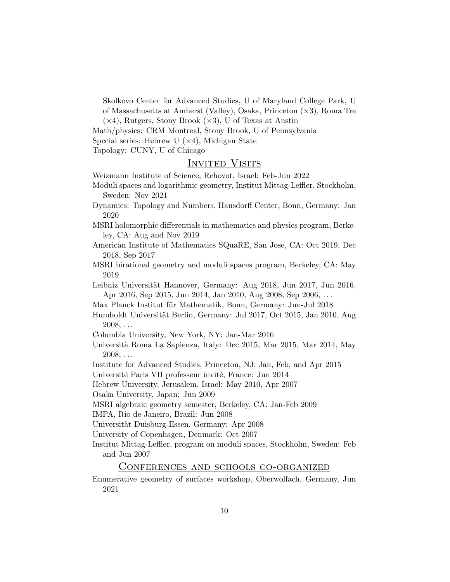Skolkovo Center for Advanced Studies, U of Maryland College Park, U of Massachusetts at Amherst (Valley), Osaka, Princeton (×3), Roma Tre

 $(\times 4)$ , Rutgers, Stony Brook  $(\times 3)$ , U of Texas at Austin

Math/physics: CRM Montreal, Stony Brook, U of Pennsylvania

Special series: Hebrew U  $(\times 4)$ , Michigan State

Topology: CUNY, U of Chicago

# INVITED VISITS

Weizmann Institute of Science, Rehovot, Israel: Feb-Jun 2022

- Moduli spaces and logarithmic geometry, Institut Mittag-Leffler, Stockholm, Sweden: Nov 2021
- Dynamics: Topology and Numbers, Hausdorff Center, Bonn, Germany: Jan 2020

MSRI holomorphic differentials in mathematics and physics program, Berkeley, CA: Aug and Nov 2019

American Institute of Mathematics SQuaRE, San Jose, CA: Oct 2019, Dec 2018, Sep 2017

- MSRI birational geometry and moduli spaces program, Berkeley, CA: May 2019
- Leibniz Universität Hannover, Germany: Aug 2018, Jun 2017, Jun 2016, Apr 2016, Sep 2015, Jun 2014, Jan 2010, Aug 2008, Sep 2006, . . .

Max Planck Institut für Mathematik, Bonn, Germany: Jun-Jul 2018

- Humboldt Universität Berlin, Germany: Jul 2017, Oct 2015, Jan 2010, Aug  $2008, \ldots$
- Columbia University, New York, NY: Jan-Mar 2016
- Universit`a Roma La Sapienza, Italy: Dec 2015, Mar 2015, Mar 2014, May  $2008, \ldots$
- Institute for Advanced Studies, Princeton, NJ: Jan, Feb, and Apr 2015

Université Paris VII professeur invité, France: Jun 2014

Hebrew University, Jerusalem, Israel: May 2010, Apr 2007

Osaka University, Japan: Jun 2009

MSRI algebraic geometry semester, Berkeley, CA: Jan-Feb 2009

IMPA, Rio de Janeiro, Brazil: Jun 2008

Universität Duisburg-Essen, Germany: Apr 2008

- University of Copenhagen, Denmark: Oct 2007
- Institut Mittag-Leffler, program on moduli spaces, Stockholm, Sweden: Feb and Jun 2007

# Conferences and schools co-organized

Enumerative geometry of surfaces workshop, Oberwolfach, Germany, Jun 2021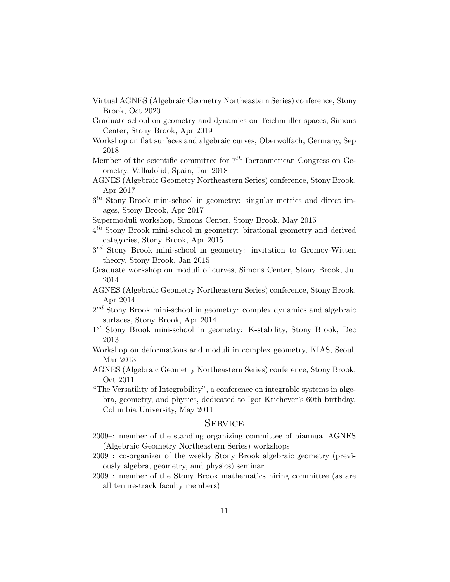- Virtual AGNES (Algebraic Geometry Northeastern Series) conference, Stony Brook, Oct 2020
- Graduate school on geometry and dynamics on Teichmüller spaces, Simons Center, Stony Brook, Apr 2019
- Workshop on flat surfaces and algebraic curves, Oberwolfach, Germany, Sep 2018
- Member of the scientific committee for  $7<sup>th</sup>$  Iberoamerican Congress on Geometry, Valladolid, Spain, Jan 2018
- AGNES (Algebraic Geometry Northeastern Series) conference, Stony Brook, Apr 2017
- $6<sup>th</sup>$  Stony Brook mini-school in geometry: singular metrics and direct images, Stony Brook, Apr 2017
- Supermoduli workshop, Simons Center, Stony Brook, May 2015
- $4<sup>th</sup>$  Stony Brook mini-school in geometry: birational geometry and derived categories, Stony Brook, Apr 2015
- $3^{rd}$  Stony Brook mini-school in geometry: invitation to Gromov-Witten theory, Stony Brook, Jan 2015
- Graduate workshop on moduli of curves, Simons Center, Stony Brook, Jul 2014
- AGNES (Algebraic Geometry Northeastern Series) conference, Stony Brook, Apr 2014
- $2^{nd}$  Stony Brook mini-school in geometry: complex dynamics and algebraic surfaces, Stony Brook, Apr 2014
- 1<sup>st</sup> Stony Brook mini-school in geometry: K-stability, Stony Brook, Dec 2013
- Workshop on deformations and moduli in complex geometry, KIAS, Seoul, Mar 2013
- AGNES (Algebraic Geometry Northeastern Series) conference, Stony Brook, Oct 2011
- "The Versatility of Integrability", a conference on integrable systems in algebra, geometry, and physics, dedicated to Igor Krichever's 60th birthday, Columbia University, May 2011

## **SERVICE**

- 2009–: member of the standing organizing committee of biannual AGNES (Algebraic Geometry Northeastern Series) workshops
- 2009–: co-organizer of the weekly Stony Brook algebraic geometry (previously algebra, geometry, and physics) seminar
- 2009–: member of the Stony Brook mathematics hiring committee (as are all tenure-track faculty members)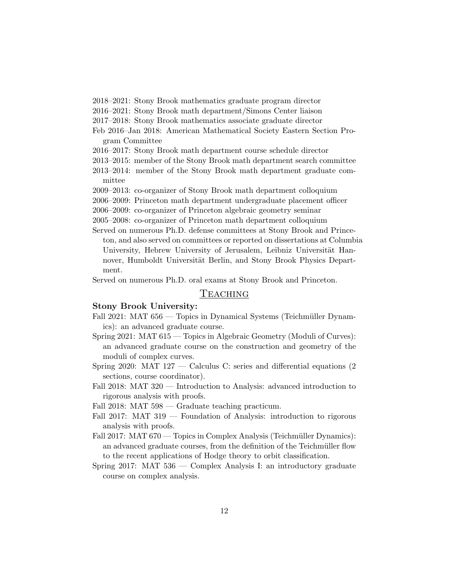- 2018–2021: Stony Brook mathematics graduate program director
- 2016–2021: Stony Brook math department/Simons Center liaison
- 2017–2018: Stony Brook mathematics associate graduate director
- Feb 2016–Jan 2018: American Mathematical Society Eastern Section Program Committee
- 2016–2017: Stony Brook math department course schedule director
- 2013–2015: member of the Stony Brook math department search committee
- 2013–2014: member of the Stony Brook math department graduate committee
- 2009–2013: co-organizer of Stony Brook math department colloquium
- 2006–2009: Princeton math department undergraduate placement officer
- 2006–2009: co-organizer of Princeton algebraic geometry seminar
- 2005–2008: co-organizer of Princeton math department colloquium
- Served on numerous Ph.D. defense committees at Stony Brook and Princeton, and also served on committees or reported on dissertations at Columbia University, Hebrew University of Jerusalem, Leibniz Universität Hannover, Humboldt Universität Berlin, and Stony Brook Physics Department.

Served on numerous Ph.D. oral exams at Stony Brook and Princeton.

## TEACHING

#### Stony Brook University:

- Fall 2021: MAT 656 Topics in Dynamical Systems (Teichmüller Dynamics): an advanced graduate course.
- Spring 2021: MAT 615 Topics in Algebraic Geometry (Moduli of Curves): an advanced graduate course on the construction and geometry of the moduli of complex curves.
- Spring 2020: MAT 127 Calculus C: series and differential equations (2 sections, course coordinator).
- Fall 2018: MAT 320 Introduction to Analysis: advanced introduction to rigorous analysis with proofs.

Fall 2018: MAT 598 — Graduate teaching practicum.

- Fall 2017: MAT 319 Foundation of Analysis: introduction to rigorous analysis with proofs.
- Fall 2017: MAT 670 Topics in Complex Analysis (Teichmüller Dynamics): an advanced graduate courses, from the definition of the Teichmüller flow to the recent applications of Hodge theory to orbit classification.
- Spring 2017: MAT 536 Complex Analysis I: an introductory graduate course on complex analysis.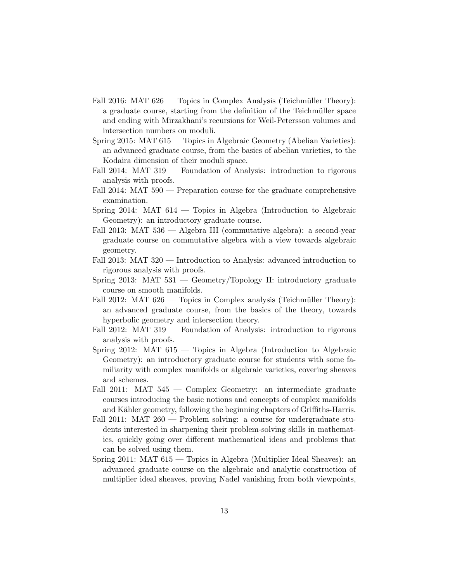- Fall 2016: MAT 626 Topics in Complex Analysis (Teichmüller Theory): a graduate course, starting from the definition of the Teichmüller space and ending with Mirzakhani's recursions for Weil-Petersson volumes and intersection numbers on moduli.
- Spring 2015: MAT 615 Topics in Algebraic Geometry (Abelian Varieties): an advanced graduate course, from the basics of abelian varieties, to the Kodaira dimension of their moduli space.
- Fall 2014: MAT 319 Foundation of Analysis: introduction to rigorous analysis with proofs.
- Fall 2014: MAT 590 Preparation course for the graduate comprehensive examination.
- Spring 2014: MAT 614 Topics in Algebra (Introduction to Algebraic Geometry): an introductory graduate course.
- Fall 2013: MAT 536 Algebra III (commutative algebra): a second-year graduate course on commutative algebra with a view towards algebraic geometry.
- Fall 2013: MAT 320 Introduction to Analysis: advanced introduction to rigorous analysis with proofs.
- Spring 2013: MAT 531 Geometry/Topology II: introductory graduate course on smooth manifolds.
- Fall 2012: MAT  $626$  Topics in Complex analysis (Teichmüller Theory): an advanced graduate course, from the basics of the theory, towards hyperbolic geometry and intersection theory.
- Fall 2012: MAT 319 Foundation of Analysis: introduction to rigorous analysis with proofs.
- Spring 2012: MAT 615 Topics in Algebra (Introduction to Algebraic Geometry): an introductory graduate course for students with some familiarity with complex manifolds or algebraic varieties, covering sheaves and schemes.
- Fall 2011: MAT 545 Complex Geometry: an intermediate graduate courses introducing the basic notions and concepts of complex manifolds and Kähler geometry, following the beginning chapters of Griffiths-Harris.
- Fall 2011: MAT 260 Problem solving: a course for undergraduate students interested in sharpening their problem-solving skills in mathematics, quickly going over different mathematical ideas and problems that can be solved using them.
- Spring 2011: MAT 615 Topics in Algebra (Multiplier Ideal Sheaves): an advanced graduate course on the algebraic and analytic construction of multiplier ideal sheaves, proving Nadel vanishing from both viewpoints,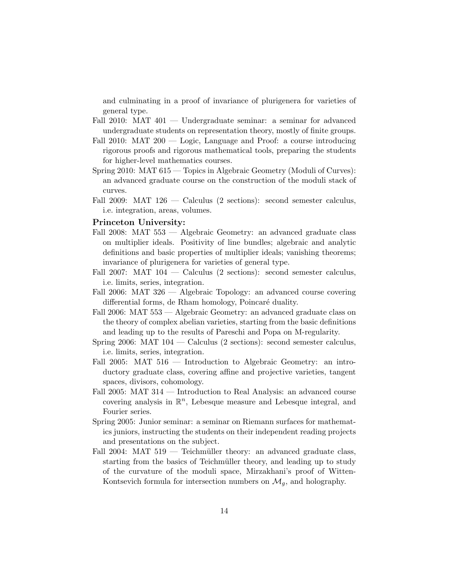and culminating in a proof of invariance of plurigenera for varieties of general type.

- Fall 2010: MAT 401 Undergraduate seminar: a seminar for advanced undergraduate students on representation theory, mostly of finite groups.
- Fall 2010: MAT 200 Logic, Language and Proof: a course introducing rigorous proofs and rigorous mathematical tools, preparing the students for higher-level mathematics courses.
- Spring 2010: MAT 615 Topics in Algebraic Geometry (Moduli of Curves): an advanced graduate course on the construction of the moduli stack of curves.
- Fall 2009: MAT  $126$  Calculus (2 sections): second semester calculus, i.e. integration, areas, volumes.

#### Princeton University:

- Fall 2008: MAT 553 Algebraic Geometry: an advanced graduate class on multiplier ideals. Positivity of line bundles; algebraic and analytic definitions and basic properties of multiplier ideals; vanishing theorems; invariance of plurigenera for varieties of general type.
- Fall 2007: MAT 104 Calculus (2 sections): second semester calculus, i.e. limits, series, integration.
- Fall 2006: MAT 326 Algebraic Topology: an advanced course covering differential forms, de Rham homology, Poincaré duality.
- Fall 2006: MAT 553 Algebraic Geometry: an advanced graduate class on the theory of complex abelian varieties, starting from the basic definitions and leading up to the results of Pareschi and Popa on M-regularity.
- Spring 2006: MAT 104 Calculus (2 sections): second semester calculus, i.e. limits, series, integration.
- Fall 2005: MAT 516 Introduction to Algebraic Geometry: an introductory graduate class, covering affine and projective varieties, tangent spaces, divisors, cohomology.
- Fall 2005: MAT 314 Introduction to Real Analysis: an advanced course covering analysis in  $\mathbb{R}^n$ , Lebesque measure and Lebesque integral, and Fourier series.
- Spring 2005: Junior seminar: a seminar on Riemann surfaces for mathematics juniors, instructing the students on their independent reading projects and presentations on the subject.
- Fall 2004: MAT  $519$  Teichmüller theory: an advanced graduate class, starting from the basics of Teichmüller theory, and leading up to study of the curvature of the moduli space, Mirzakhani's proof of Witten-Kontsevich formula for intersection numbers on  $\mathcal{M}_q$ , and holography.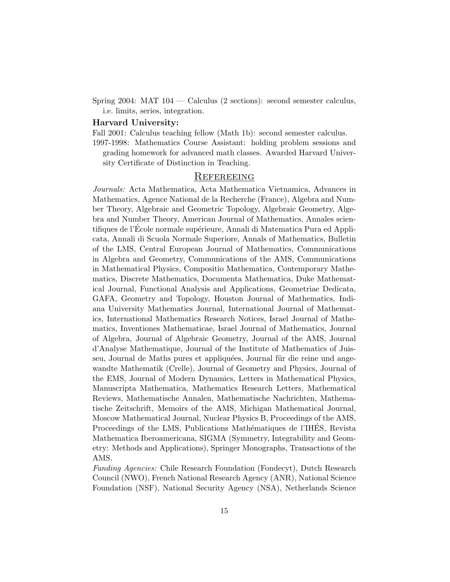Spring 2004: MAT 104 — Calculus (2 sections): second semester calculus, i.e. limits, series, integration.

#### Harvard University:

Fall 2001: Calculus teaching fellow (Math 1b): second semester calculus. 1997-1998: Mathematics Course Assistant: holding problem sessions and grading homework for advanced math classes. Awarded Harvard University Certificate of Distinction in Teaching.

#### **REFEREEING**

Journals: Acta Mathematica, Acta Mathematica Vietnamica, Advances in Mathematics, Agence National de la Recherche (France), Algebra and Number Theory, Algebraic and Geometric Topology, Algebraic Geometry, Algebra and Number Theory, American Journal of Mathematics, Annales scientifiques de l'Ecole normale supérieure, Annali di Matematica Pura ed Applicata, Annali di Scuola Normale Superiore, Annals of Mathematics, Bulletin of the LMS, Central European Journal of Mathematics, Communications in Algebra and Geometry, Communications of the AMS, Communications in Mathematical Physics, Compositio Mathematica, Contemporary Mathematics, Discrete Mathematics, Documenta Mathematica, Duke Mathematical Journal, Functional Analysis and Applications, Geometriae Dedicata, GAFA, Geometry and Topology, Houston Journal of Mathematics, Indiana University Mathematics Journal, International Journal of Mathematics, International Mathematics Research Notices, Israel Journal of Mathematics, Inventiones Mathematicae, Israel Journal of Mathematics, Journal of Algebra, Journal of Algebraic Geometry, Journal of the AMS, Journal d'Analyse Mathematique, Journal of the Institute of Mathematics of Juisseu, Journal de Maths pures et appliquées, Journal für die reine und angewandte Mathematik (Crelle), Journal of Geometry and Physics, Journal of the EMS, Journal of Modern Dynamics, Letters in Mathematical Physics, Manuscripta Mathematica, Mathematics Research Letters, Mathematical Reviews, Mathematische Annalen, Mathematische Nachrichten, Mathematische Zeitschrift, Memoirs of the AMS, Michigan Mathematical Journal, Moscow Mathematical Journal, Nuclear Physics B, Proceedings of the AMS, Proceedings of the LMS, Publications Mathématiques de l'IHES, Revista Mathematica Iberoamericana, SIGMA (Symmetry, Integrability and Geometry: Methods and Applications), Springer Monographs, Transactions of the AMS.

Funding Agencies: Chile Research Foundation (Fondecyt), Dutch Research Council (NWO), French National Research Agency (ANR), National Science Foundation (NSF), National Security Agency (NSA), Netherlands Science